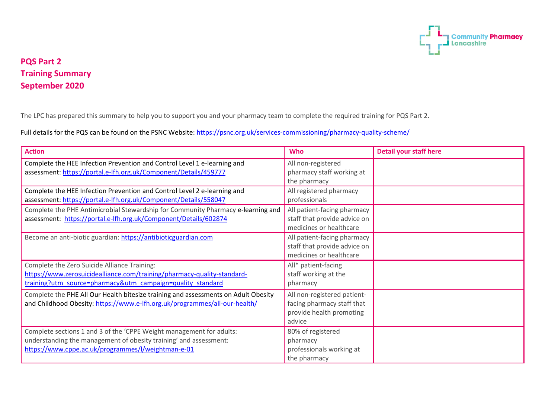

## **PQS Part 2 Training Summary September 2020**

The LPC has prepared this summary to help you to support you and your pharmacy team to complete the required training for PQS Part 2.

Full details for the PQS can be found on the PSNC Website:<https://psnc.org.uk/services-commissioning/pharmacy-quality-scheme/>

| <b>Action</b>                                                                                                                                                                                   | <b>Who</b>                                                                                      | <b>Detail your staff here</b> |
|-------------------------------------------------------------------------------------------------------------------------------------------------------------------------------------------------|-------------------------------------------------------------------------------------------------|-------------------------------|
| Complete the HEE Infection Prevention and Control Level 1 e-learning and<br>assessment: https://portal.e-lfh.org.uk/Component/Details/459777                                                    | All non-registered<br>pharmacy staff working at<br>the pharmacy                                 |                               |
| Complete the HEE Infection Prevention and Control Level 2 e-learning and<br>assessment: https://portal.e-lfh.org.uk/Component/Details/558047                                                    | All registered pharmacy<br>professionals                                                        |                               |
| Complete the PHE Antimicrobial Stewardship for Community Pharmacy e-learning and<br>assessment: https://portal.e-lfh.org.uk/Component/Details/602874                                            | All patient-facing pharmacy<br>staff that provide advice on<br>medicines or healthcare          |                               |
| Become an anti-biotic guardian: https://antibioticguardian.com                                                                                                                                  | All patient-facing pharmacy<br>staff that provide advice on<br>medicines or healthcare          |                               |
| Complete the Zero Suicide Alliance Training:<br>https://www.zerosuicidealliance.com/training/pharmacy-quality-standard-<br>training?utm_source=pharmacy&utm_campaign=quality_standard           | All* patient-facing<br>staff working at the<br>pharmacy                                         |                               |
| Complete the PHE All Our Health bitesize training and assessments on Adult Obesity<br>and Childhood Obesity: https://www.e-lfh.org.uk/programmes/all-our-health/                                | All non-registered patient-<br>facing pharmacy staff that<br>provide health promoting<br>advice |                               |
| Complete sections 1 and 3 of the 'CPPE Weight management for adults:<br>understanding the management of obesity training' and assessment:<br>https://www.cppe.ac.uk/programmes/l/weightman-e-01 | 80% of registered<br>pharmacy<br>professionals working at<br>the pharmacy                       |                               |